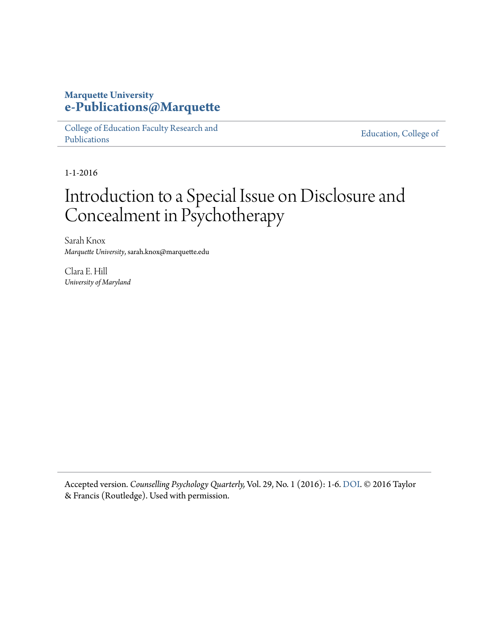#### **Marquette University [e-Publications@Marquette](https://epublications.marquette.edu)**

[College of Education Faculty Research and](https://epublications.marquette.edu/edu_fac) [Publications](https://epublications.marquette.edu/edu_fac)

[Education, College of](https://epublications.marquette.edu/education)

1-1-2016

# Introduction to a Special Issue on Disclosure and Concealment in Psychotherapy

Sarah Knox *Marquette University*, sarah.knox@marquette.edu

Clara E. Hill *University of Maryland*

Accepted version. *Counselling Psychology Quarterly,* Vol. 29, No. 1 (2016): 1-6. [DOI.](http://dx.doi.org/10.1080/09515070.2015.1095156) © 2016 Taylor & Francis (Routledge). Used with permission.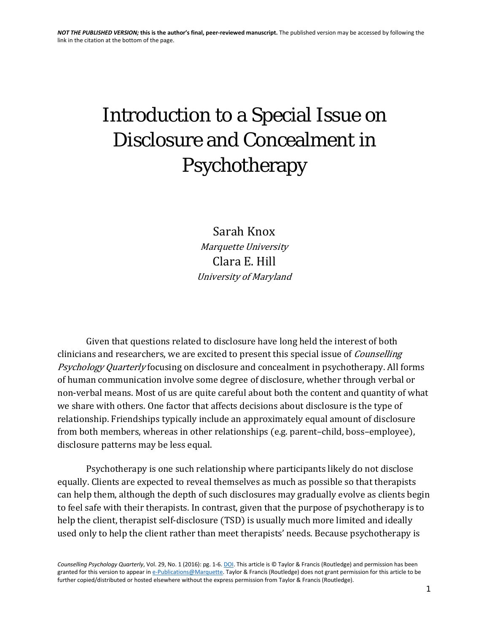# Introduction to a Special Issue on Disclosure and Concealment in Psychotherapy

Sarah Knox Marquette University Clara E. Hill University of Maryland

Given that questions related to disclosure have long held the interest of both clinicians and researchers, we are excited to present this special issue of *Counselling* Psychology Quarterly focusing on disclosure and concealment in psychotherapy. All forms of human communication involve some degree of disclosure, whether through verbal or non-verbal means. Most of us are quite careful about both the content and quantity of what we share with others. One factor that affects decisions about disclosure is the type of relationship. Friendships typically include an approximately equal amount of disclosure from both members, whereas in other relationships (e.g. parent–child, boss–employee), disclosure patterns may be less equal.

Psychotherapy is one such relationship where participants likely do not disclose equally. Clients are expected to reveal themselves as much as possible so that therapists can help them, although the depth of such disclosures may gradually evolve as clients begin to feel safe with their therapists. In contrast, given that the purpose of psychotherapy is to help the client, therapist self-disclosure (TSD) is usually much more limited and ideally used only to help the client rather than meet therapists' needs. Because psychotherapy is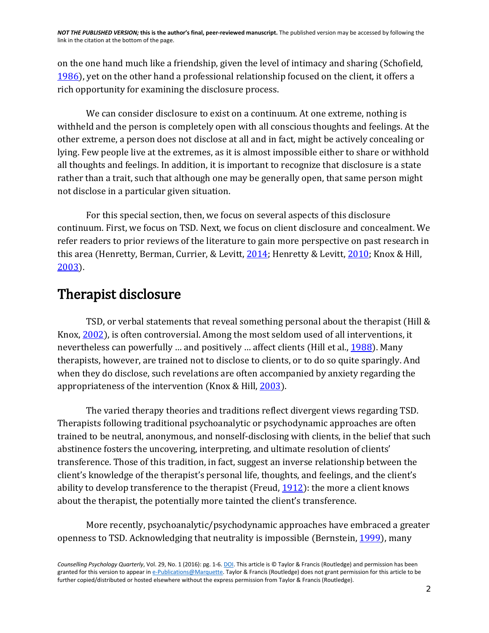on the one hand much like a friendship, given the level of intimacy and sharing (Schofield, [1986\)](http://www.tandfonline.com/doi/full/10.1080/09515070.2015.1095156), yet on the other hand a professional relationship focused on the client, it offers a rich opportunity for examining the disclosure process.

We can consider disclosure to exist on a continuum. At one extreme, nothing is withheld and the person is completely open with all conscious thoughts and feelings. At the other extreme, a person does not disclose at all and in fact, might be actively concealing or lying. Few people live at the extremes, as it is almost impossible either to share or withhold all thoughts and feelings. In addition, it is important to recognize that disclosure is a state rather than a trait, such that although one may be generally open, that same person might not disclose in a particular given situation.

For this special section, then, we focus on several aspects of this disclosure continuum. First, we focus on TSD. Next, we focus on client disclosure and concealment. We refer readers to prior reviews of the literature to gain more perspective on past research in this area (Henretty, Berman, Currier, & Levitt, [2014;](http://www.tandfonline.com/doi/full/10.1080/09515070.2015.1095156) Henretty & Levitt[, 2010;](http://www.tandfonline.com/doi/full/10.1080/09515070.2015.1095156) Knox & Hill, [2003\)](http://www.tandfonline.com/doi/full/10.1080/09515070.2015.1095156).

## Therapist disclosure

TSD, or verbal statements that reveal something personal about the therapist (Hill & Knox, [2002\)](http://www.tandfonline.com/doi/full/10.1080/09515070.2015.1095156), is often controversial. Among the most seldom used of all interventions, it nevertheless can powerfully … and positively … affect clients (Hill et al., [1988\)](http://www.tandfonline.com/doi/full/10.1080/09515070.2015.1095156). Many therapists, however, are trained not to disclose to clients, or to do so quite sparingly. And when they do disclose, such revelations are often accompanied by anxiety regarding the appropriateness of the intervention (Knox & Hill, [2003\)](http://www.tandfonline.com/doi/full/10.1080/09515070.2015.1095156).

The varied therapy theories and traditions reflect divergent views regarding TSD. Therapists following traditional psychoanalytic or psychodynamic approaches are often trained to be neutral, anonymous, and nonself-disclosing with clients, in the belief that such abstinence fosters the uncovering, interpreting, and ultimate resolution of clients' transference. Those of this tradition, in fact, suggest an inverse relationship between the client's knowledge of the therapist's personal life, thoughts, and feelings, and the client's ability to develop transference to the therapist (Freud,  $1912$ ): the more a client knows about the therapist, the potentially more tainted the client's transference.

More recently, psychoanalytic/psychodynamic approaches have embraced a greater openness to TSD. Acknowledging that neutrality is impossible (Bernstein, [1999\)](http://www.tandfonline.com/doi/full/10.1080/09515070.2015.1095156), many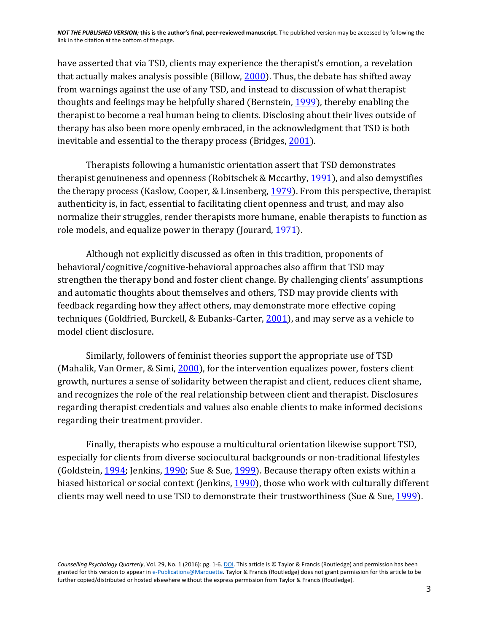have asserted that via TSD, clients may experience the therapist's emotion, a revelation that actually makes analysis possible (Billow, [2000\)](http://www.tandfonline.com/doi/full/10.1080/09515070.2015.1095156). Thus, the debate has shifted away from warnings against the use of any TSD, and instead to discussion of what therapist thoughts and feelings may be helpfully shared (Bernstein[, 1999\)](http://www.tandfonline.com/doi/full/10.1080/09515070.2015.1095156), thereby enabling the therapist to become a real human being to clients. Disclosing about their lives outside of therapy has also been more openly embraced, in the acknowledgment that TSD is both inevitable and essential to the therapy process (Bridges, [2001\)](http://www.tandfonline.com/doi/full/10.1080/09515070.2015.1095156).

Therapists following a humanistic orientation assert that TSD demonstrates therapist genuineness and openness (Robitschek & Mccarthy, [1991\)](http://www.tandfonline.com/doi/full/10.1080/09515070.2015.1095156), and also demystifies the therapy process (Kaslow, Cooper, & Linsenberg, [1979\)](http://www.tandfonline.com/doi/full/10.1080/09515070.2015.1095156). From this perspective, therapist authenticity is, in fact, essential to facilitating client openness and trust, and may also normalize their struggles, render therapists more humane, enable therapists to function as role models, and equalize power in therapy (Jourard, [1971\)](http://www.tandfonline.com/doi/full/10.1080/09515070.2015.1095156).

Although not explicitly discussed as often in this tradition, proponents of behavioral/cognitive/cognitive-behavioral approaches also affirm that TSD may strengthen the therapy bond and foster client change. By challenging clients' assumptions and automatic thoughts about themselves and others, TSD may provide clients with feedback regarding how they affect others, may demonstrate more effective coping techniques (Goldfried, Burckell, & Eubanks-Carter, [2001\)](http://www.tandfonline.com/doi/full/10.1080/09515070.2015.1095156), and may serve as a vehicle to model client disclosure.

Similarly, followers of feminist theories support the appropriate use of TSD (Mahalik, Van Ormer, & Simi, [2000\)](http://www.tandfonline.com/doi/full/10.1080/09515070.2015.1095156), for the intervention equalizes power, fosters client growth, nurtures a sense of solidarity between therapist and client, reduces client shame, and recognizes the role of the real relationship between client and therapist. Disclosures regarding therapist credentials and values also enable clients to make informed decisions regarding their treatment provider.

Finally, therapists who espouse a multicultural orientation likewise support TSD, especially for clients from diverse sociocultural backgrounds or non-traditional lifestyles (Goldstein, [1994;](http://www.tandfonline.com/doi/full/10.1080/09515070.2015.1095156) Jenkins, [1990;](http://www.tandfonline.com/doi/full/10.1080/09515070.2015.1095156) Sue & Sue, [1999\)](http://www.tandfonline.com/doi/full/10.1080/09515070.2015.1095156). Because therapy often exists within a biased historical or social context (Jenkins, [1990\)](http://www.tandfonline.com/doi/full/10.1080/09515070.2015.1095156), those who work with culturally different clients may well need to use TSD to demonstrate their trustworthiness (Sue & Sue, [1999\)](http://www.tandfonline.com/doi/full/10.1080/09515070.2015.1095156).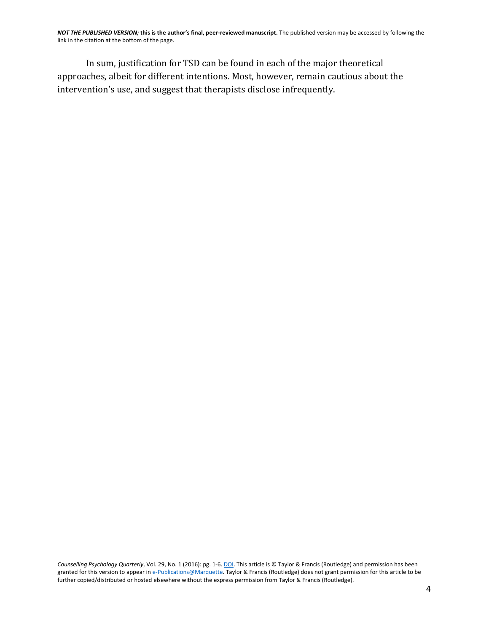In sum, justification for TSD can be found in each of the major theoretical approaches, albeit for different intentions. Most, however, remain cautious about the intervention's use, and suggest that therapists disclose infrequently.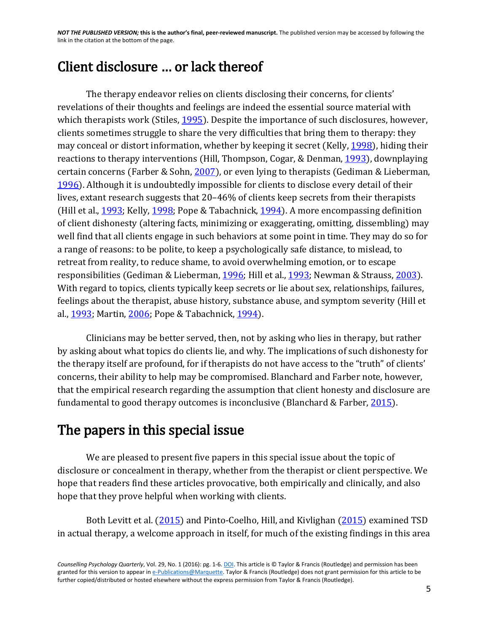#### Client disclosure … or lack thereof

The therapy endeavor relies on clients disclosing their concerns, for clients' revelations of their thoughts and feelings are indeed the essential source material with which therapists work (Stiles, [1995\)](http://www.tandfonline.com/doi/full/10.1080/09515070.2015.1095156). Despite the importance of such disclosures, however, clients sometimes struggle to share the very difficulties that bring them to therapy: they may conceal or distort information, whether by keeping it secret (Kelly, [1998\)](http://www.tandfonline.com/doi/full/10.1080/09515070.2015.1095156), hiding their reactions to therapy interventions (Hill, Thompson, Cogar, & Denman, [1993\)](http://www.tandfonline.com/doi/full/10.1080/09515070.2015.1095156), downplaying certain concerns (Farber & Sohn, [2007\)](http://www.tandfonline.com/doi/full/10.1080/09515070.2015.1095156), or even lying to therapists (Gediman & Lieberman, [1996\)](http://www.tandfonline.com/doi/full/10.1080/09515070.2015.1095156). Although it is undoubtedly impossible for clients to disclose every detail of their lives, extant research suggests that 20–46% of clients keep secrets from their therapists (Hill et al., [1993;](http://www.tandfonline.com/doi/full/10.1080/09515070.2015.1095156) Kelly, [1998;](http://www.tandfonline.com/doi/full/10.1080/09515070.2015.1095156) Pope & Tabachnick, [1994\)](http://www.tandfonline.com/doi/full/10.1080/09515070.2015.1095156). A more encompassing definition of client dishonesty (altering facts, minimizing or exaggerating, omitting, dissembling) may well find that all clients engage in such behaviors at some point in time. They may do so for a range of reasons: to be polite, to keep a psychologically safe distance, to mislead, to retreat from reality, to reduce shame, to avoid overwhelming emotion, or to escape responsibilities (Gediman & Lieberman[, 1996;](http://www.tandfonline.com/doi/full/10.1080/09515070.2015.1095156) Hill et al., [1993;](http://www.tandfonline.com/doi/full/10.1080/09515070.2015.1095156) Newman & Strauss[, 2003\)](http://www.tandfonline.com/doi/full/10.1080/09515070.2015.1095156). With regard to topics, clients typically keep secrets or lie about sex, relationships, failures, feelings about the therapist, abuse history, substance abuse, and symptom severity (Hill et al.[, 1993;](http://www.tandfonline.com/doi/full/10.1080/09515070.2015.1095156) Martin, [2006;](http://www.tandfonline.com/doi/full/10.1080/09515070.2015.1095156) Pope & Tabachnick[, 1994\)](http://www.tandfonline.com/doi/full/10.1080/09515070.2015.1095156).

Clinicians may be better served, then, not by asking who lies in therapy, but rather by asking about what topics do clients lie, and why. The implications of such dishonesty for the therapy itself are profound, for if therapists do not have access to the "truth" of clients' concerns, their ability to help may be compromised. Blanchard and Farber note, however, that the empirical research regarding the assumption that client honesty and disclosure are fundamental to good therapy outcomes is inconclusive (Blanchard & Farber, [2015\)](http://www.tandfonline.com/doi/full/10.1080/09515070.2015.1095156).

#### The papers in this special issue

We are pleased to present five papers in this special issue about the topic of disclosure or concealment in therapy, whether from the therapist or client perspective. We hope that readers find these articles provocative, both empirically and clinically, and also hope that they prove helpful when working with clients.

Both Levitt et al. [\(2015\)](http://www.tandfonline.com/doi/full/10.1080/09515070.2015.1095156) and Pinto-Coelho, Hill, and Kivlighan [\(2015\)](http://www.tandfonline.com/doi/full/10.1080/09515070.2015.1095156) examined TSD in actual therapy, a welcome approach in itself, for much of the existing findings in this area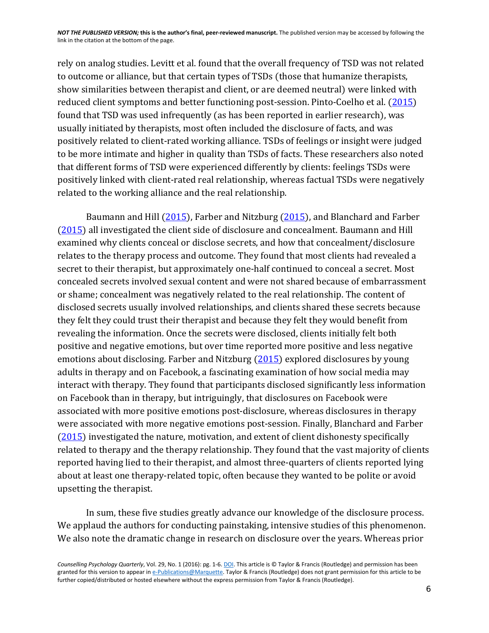rely on analog studies. Levitt et al. found that the overall frequency of TSD was not related to outcome or alliance, but that certain types of TSDs (those that humanize therapists, show similarities between therapist and client, or are deemed neutral) were linked with reduced client symptoms and better functioning post-session. Pinto-Coelho et al. [\(2015\)](http://www.tandfonline.com/doi/full/10.1080/09515070.2015.1095156) found that TSD was used infrequently (as has been reported in earlier research), was usually initiated by therapists, most often included the disclosure of facts, and was positively related to client-rated working alliance. TSDs of feelings or insight were judged to be more intimate and higher in quality than TSDs of facts. These researchers also noted that different forms of TSD were experienced differently by clients: feelings TSDs were positively linked with client-rated real relationship, whereas factual TSDs were negatively related to the working alliance and the real relationship.

Baumann and Hill [\(2015\)](http://www.tandfonline.com/doi/full/10.1080/09515070.2015.1095156), Farber and Nitzburg [\(2015\)](http://www.tandfonline.com/doi/full/10.1080/09515070.2015.1095156), and Blanchard and Farber [\(2015\)](http://www.tandfonline.com/doi/full/10.1080/09515070.2015.1095156) all investigated the client side of disclosure and concealment. Baumann and Hill examined why clients conceal or disclose secrets, and how that concealment/disclosure relates to the therapy process and outcome. They found that most clients had revealed a secret to their therapist, but approximately one-half continued to conceal a secret. Most concealed secrets involved sexual content and were not shared because of embarrassment or shame; concealment was negatively related to the real relationship. The content of disclosed secrets usually involved relationships, and clients shared these secrets because they felt they could trust their therapist and because they felt they would benefit from revealing the information. Once the secrets were disclosed, clients initially felt both positive and negative emotions, but over time reported more positive and less negative emotions about disclosing. Farber and Nitzburg [\(2015\)](http://www.tandfonline.com/doi/full/10.1080/09515070.2015.1095156) explored disclosures by young adults in therapy and on Facebook, a fascinating examination of how social media may interact with therapy. They found that participants disclosed significantly less information on Facebook than in therapy, but intriguingly, that disclosures on Facebook were associated with more positive emotions post-disclosure, whereas disclosures in therapy were associated with more negative emotions post-session. Finally, Blanchard and Farber [\(2015\)](http://www.tandfonline.com/doi/full/10.1080/09515070.2015.1095156) investigated the nature, motivation, and extent of client dishonesty specifically related to therapy and the therapy relationship. They found that the vast majority of clients reported having lied to their therapist, and almost three-quarters of clients reported lying about at least one therapy-related topic, often because they wanted to be polite or avoid upsetting the therapist.

In sum, these five studies greatly advance our knowledge of the disclosure process. We applaud the authors for conducting painstaking, intensive studies of this phenomenon. We also note the dramatic change in research on disclosure over the years. Whereas prior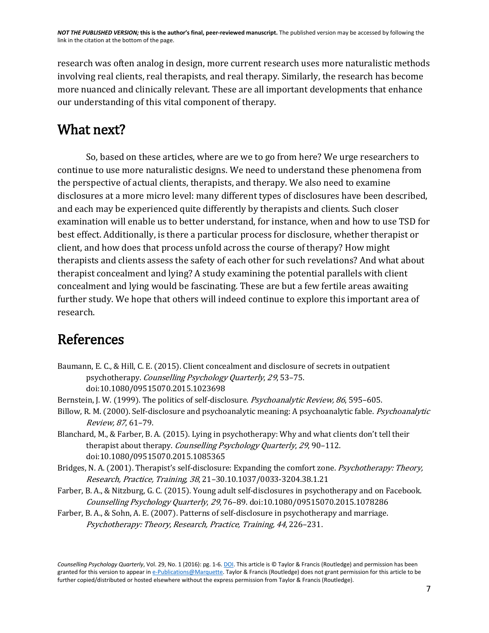research was often analog in design, more current research uses more naturalistic methods involving real clients, real therapists, and real therapy. Similarly, the research has become more nuanced and clinically relevant. These are all important developments that enhance our understanding of this vital component of therapy.

## What next?

So, based on these articles, where are we to go from here? We urge researchers to continue to use more naturalistic designs. We need to understand these phenomena from the perspective of actual clients, therapists, and therapy. We also need to examine disclosures at a more micro level: many different types of disclosures have been described, and each may be experienced quite differently by therapists and clients. Such closer examination will enable us to better understand, for instance, when and how to use TSD for best effect. Additionally, is there a particular process for disclosure, whether therapist or client, and how does that process unfold across the course of therapy? How might therapists and clients assess the safety of each other for such revelations? And what about therapist concealment and lying? A study examining the potential parallels with client concealment and lying would be fascinating. These are but a few fertile areas awaiting further study. We hope that others will indeed continue to explore this important area of research.

# References

- Baumann, E. C., & Hill, C. E. (2015). Client concealment and disclosure of secrets in outpatient psychotherapy. Counselling Psychology Quarterly, <sup>29</sup>, 53–75. doi:10.1080/09515070.2015.1023698
- Bernstein, J. W. (1999). The politics of self-disclosure. Psychoanalytic Review, 86, 595-605.
- Billow, R. M. (2000). Self-disclosure and psychoanalytic meaning: A psychoanalytic fable. Psychoanalytic Review, <sup>87</sup>, 61–79.
- Blanchard, M., & Farber, B. A. (2015). Lying in psychotherapy: Why and what clients don't tell their therapist about therapy. Counselling Psychology Quarterly, 29, 90-112. doi:10.1080/09515070.2015.1085365
- Bridges, N. A. (2001). Therapist's self-disclosure: Expanding the comfort zone. Psychotherapy: Theory, Research, Practice, Training, <sup>38</sup>, 21–30.10.1037/0033-3204.38.1.21
- Farber, B. A., & Nitzburg, G. C. (2015). Young adult self-disclosures in psychotherapy and on Facebook. Counselling Psychology Quarterly, <sup>29</sup>, 76–89. doi:10.1080/09515070.2015.1078286
- Farber, B. A., & Sohn, A. E. (2007). Patterns of self-disclosure in psychotherapy and marriage. Psychotherapy: Theory, Research, Practice, Training, <sup>44</sup>, 226–231.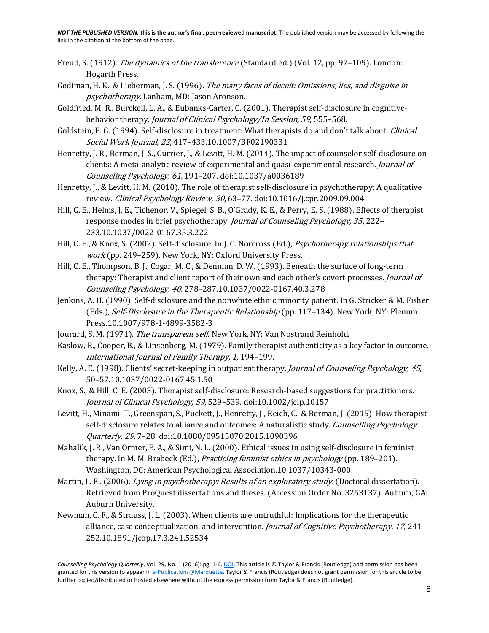- Freud, S. (1912). The dynamics of the transference (Standard ed.) (Vol. 12, pp. 97-109). London: Hogarth Press.
- Gediman, H. K., & Lieberman, J. S. (1996). The many faces of deceit: Omissions, lies, and disguise in psychotherapy. Lanham, MD: Jason Aronson.
- Goldfried, M. R., Burckell, L. A., & Eubanks-Carter, C. (2001). Therapist self-disclosure in cognitivebehavior therapy. Journal of Clinical Psychology/In Session, <sup>59</sup>, 555–568.
- Goldstein, E. G. (1994). Self-disclosure in treatment: What therapists do and don't talk about. Clinical Social Work Journal, <sup>22</sup>, 417–433.10.1007/BF02190331
- Henretty, J. R., Berman, J. S., Currier, J., & Levitt, H. M. (2014). The impact of counselor self-disclosure on clients: A meta-analytic review of experimental and quasi-experimental research. Journal of Counseling Psychology, <sup>61</sup>, 191–207. doi:10.1037/a0036189
- Henretty, J., & Levitt, H. M. (2010). The role of therapist self-disclosure in psychotherapy: A qualitative review. Clinical Psychology Review, <sup>30</sup>, 63–77. doi:10.1016/j.cpr.2009.09.004
- Hill, C. E., Helms, J. E., Tichenor, V., Spiegel, S. B., O'Grady, K. E., & Perry, E. S. (1988). Effects of therapist response modes in brief psychotherapy. Journal of Counseling Psychology, <sup>35</sup>, 222– 233.10.1037/0022-0167.35.3.222
- Hill, C. E., & Knox, S. (2002). Self-disclosure. In J. C. Norcross (Ed.), Psychotherapy relationships that work (pp. 249-259). New York, NY: Oxford University Press.
- Hill, C. E., Thompson, B. J., Cogar, M. C., & Denman, D. W. (1993). Beneath the surface of long-term therapy: Therapist and client report of their own and each other's covert processes. *Journal of* Counseling Psychology, <sup>40</sup>, 278–287.10.1037/0022-0167.40.3.278
- Jenkins, A. H. (1990). Self-disclosure and the nonwhite ethnic minority patient. In G. Stricker & M. Fisher (Eds.), Self-Disclosure in the Therapeutic Relationship (pp. 117-134). New York, NY: Plenum Press.10.1007/978-1-4899-3582-3
- Jourard, S. M. (1971). The transparent self. New York, NY: Van Nostrand Reinhold.
- Kaslow, R., Cooper, B., & Linsenberg, M. (1979). Family therapist authenticity as a key factor in outcome. International Journal of Family Therapy, <sup>1</sup>, 194–199.
- Kelly, A. E. (1998). Clients' secret-keeping in outpatient therapy. Journal of Counseling Psychology, 45, 50–57.10.1037/0022-0167.45.1.50
- Knox, S., & Hill, C. E. (2003). Therapist self-disclosure: Research-based suggestions for practitioners. Journal of Clinical Psychology, <sup>59</sup>, 529–539. doi:10.1002/jclp.10157
- Levitt, H., Minami, T., Greenspan, S., Puckett, J., Henretty, J., Reich, C., & Berman, J. (2015). How therapist self-disclosure relates to alliance and outcomes: A naturalistic study. Counselling Psychology Quarterly, <sup>29</sup>, 7–28. doi:10.1080/09515070.2015.1090396
- Mahalik, J. R., Van Ormer, E. A., & Simi, N. L. (2000). Ethical issues in using self-disclosure in feminist therapy. In M. M. Brabeck (Ed.), *Practicing feminist ethics in psychology* (pp. 189–201). Washington, DC: American Psychological Association.10.1037/10343-000
- Martin, L. E.. (2006). Lying in psychotherapy: Results of an exploratory study. (Doctoral dissertation). Retrieved from ProQuest dissertations and theses. (Accession Order No. 3253137). Auburn, GA: Auburn University.
- Newman, C. F., & Strauss, J. L. (2003). When clients are untruthful: Implications for the therapeutic alliance, case conceptualization, and intervention. Journal of Cognitive Psychotherapy, <sup>17</sup>, 241– 252.10.1891/jcop.17.3.241.52534